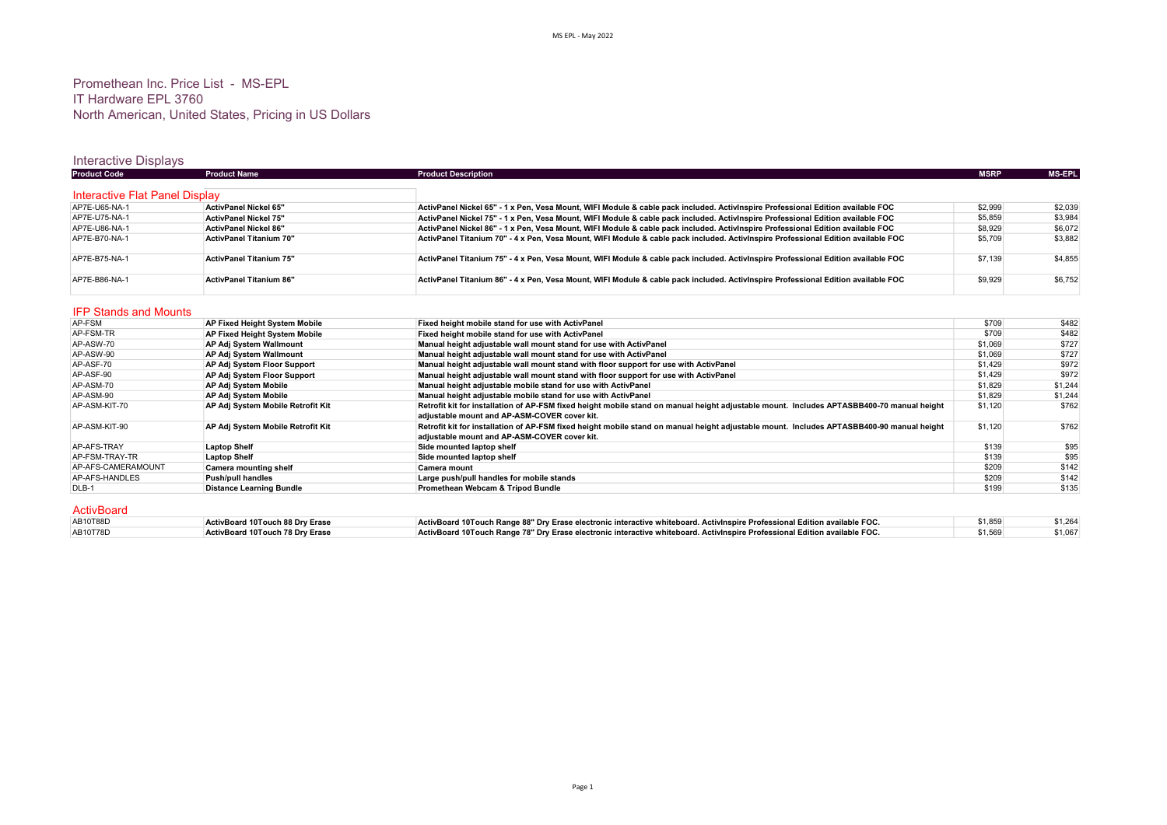## Promethean Inc. Price List - MS-EPL IT Hardware EPL 3760 North American, United States, Pricing in US Dollars

## Interactive Displays

| <b>Product Code</b>                    | <b>Product Name</b>                  | <b>Product Description</b>                                                                                                                | <b>MSRP</b> | <b>MS-EPL</b> |
|----------------------------------------|--------------------------------------|-------------------------------------------------------------------------------------------------------------------------------------------|-------------|---------------|
| Interactive Flat Panel Display         |                                      |                                                                                                                                           |             |               |
| AP7E-U65-NA-1                          |                                      |                                                                                                                                           |             |               |
|                                        | ActivPanel Nickel 65"                | ActivPanel Nickel 65" - 1 x Pen, Vesa Mount, WIFI Module & cable pack included. ActivInspire Professional Edition available FOC           | \$2,999     | \$2,039       |
| AP7E-U75-NA-1                          | ActivPanel Nickel 75"                | ActivPanel Nickel 75" - 1 x Pen, Vesa Mount, WIFI Module & cable pack included. ActivInspire Professional Edition available FOC           | \$5,859     | \$3,984       |
| AP7E-U86-NA-1                          | <b>ActivPanel Nickel 86"</b>         | ActivPanel Nickel 86" - 1 x Pen, Vesa Mount, WIFI Module & cable pack included. ActivInspire Professional Edition available FOC           | \$8,929     | \$6,072       |
| AP7E-B70-NA-1                          | <b>ActivPanel Titanium 70"</b>       | ActivPanel Titanium 70" - 4 x Pen, Vesa Mount, WIFI Module & cable pack included. ActivInspire Professional Edition available FOC         | \$5,709     | \$3,882       |
| AP7E-B75-NA-1                          | <b>ActivPanel Titanium 75"</b>       | ActivPanel Titanium 75" - 4 x Pen. Vesa Mount. WIFI Module & cable pack included. ActivInspire Professional Edition available FOC         | \$7,139     | \$4,855       |
| AP7E-B86-NA-1                          | <b>ActivPanel Titanium 86"</b>       | ActivPanel Titanium 86" - 4 x Pen, Vesa Mount, WIFI Module & cable pack included. ActivInspire Professional Edition available FOC         | \$9,929     | \$6,752       |
| <b>IFP Stands and Mounts</b><br>AP-FSM | AP Fixed Height System Mobile        | Fixed height mobile stand for use with ActivPanel                                                                                         | \$709       | \$482         |
| AP-FSM-TR                              | <b>AP Fixed Height System Mobile</b> | Fixed height mobile stand for use with ActivPanel                                                                                         | \$709       | \$482         |
| AP-ASW-70                              | AP Adj System Wallmount              | Manual height adjustable wall mount stand for use with ActivPanel                                                                         | \$1,069     | \$727         |
| AP-ASW-90                              | AP Adj System Wallmount              | Manual height adjustable wall mount stand for use with ActivPanel                                                                         | \$1.069     | \$727         |
| AP-ASF-70                              | AP Adj System Floor Support          | Manual height adjustable wall mount stand with floor support for use with ActivPanel                                                      | \$1,429     | \$972         |
| AP-ASF-90                              | AP Adj System Floor Support          | Manual height adjustable wall mount stand with floor support for use with ActivPanel                                                      | \$1,429     | \$972         |
| AP-ASM-70                              | AP Adj System Mobile                 | Manual height adjustable mobile stand for use with ActivPanel                                                                             | \$1,829     | \$1,244       |
| AP-ASM-90                              | AP Adj System Mobile                 | Manual height adjustable mobile stand for use with ActivPanel                                                                             | \$1,829     | \$1,244       |
| AP-ASM-KIT-70                          | AP Adj System Mobile Retrofit Kit    | Retrofit kit for installation of AP-FSM fixed height mobile stand on manual height adjustable mount. Includes APTASBB400-70 manual height | \$1,120     | \$762         |
|                                        |                                      | adiustable mount and AP-ASM-COVER cover kit.                                                                                              |             |               |
| AP-ASM-KIT-90                          | AP Adj System Mobile Retrofit Kit    | Retrofit kit for installation of AP-FSM fixed height mobile stand on manual height adjustable mount. Includes APTASBB400-90 manual height | \$1,120     | \$762         |
|                                        |                                      | adjustable mount and AP-ASM-COVER cover kit.                                                                                              |             |               |
| AP-AFS-TRAY                            | <b>Laptop Shelf</b>                  | Side mounted laptop shelf                                                                                                                 | \$139       | \$95          |
| AP-FSM-TRAY-TR                         | <b>Laptop Shelf</b>                  | Side mounted laptop shelf                                                                                                                 | \$139       | \$95          |

| Δ<br>ntiv Ro | ובי |  |
|--------------|-----|--|

| ActivBoard |                                 |                                                                                                                            |         |         |
|------------|---------------------------------|----------------------------------------------------------------------------------------------------------------------------|---------|---------|
| AB10T88D   | ActivBoard 10Touch 88 Dry Erase | ActivBoard 10Touch Range 88" Dry Erase electronic interactive whiteboard. ActivInspire Professional Edition available FOC. | \$1,859 | \$1,264 |
| AB10T78D   | ActivBoard 10Touch 78 Dry Erase | ActivBoard 10Touch Range 78" Dry Erase electronic interactive whiteboard. ActivInspire Professional Edition available FOC. | \$1,569 | \$1,067 |

AP-AFS-CAMERAMOUNT Camera mounting shelf States and Camera mount Camera mount States and Camera mount of the States of the States of States and Camera mount of the States of States of States and States of States and States AP-AFS-HANDLES **AP-AFS-HANDLES**<br>AP-AFS-HANDLES Push/pull handles **Push/pull handles Large push/pull handles for mobile stands Examples 1209 \$142**<br>DLB-1 Distance Learning Bundle **Promethean Webcam & Tripod Bundle** \$199 \$1

Promethean Webcam & Tripod Bundle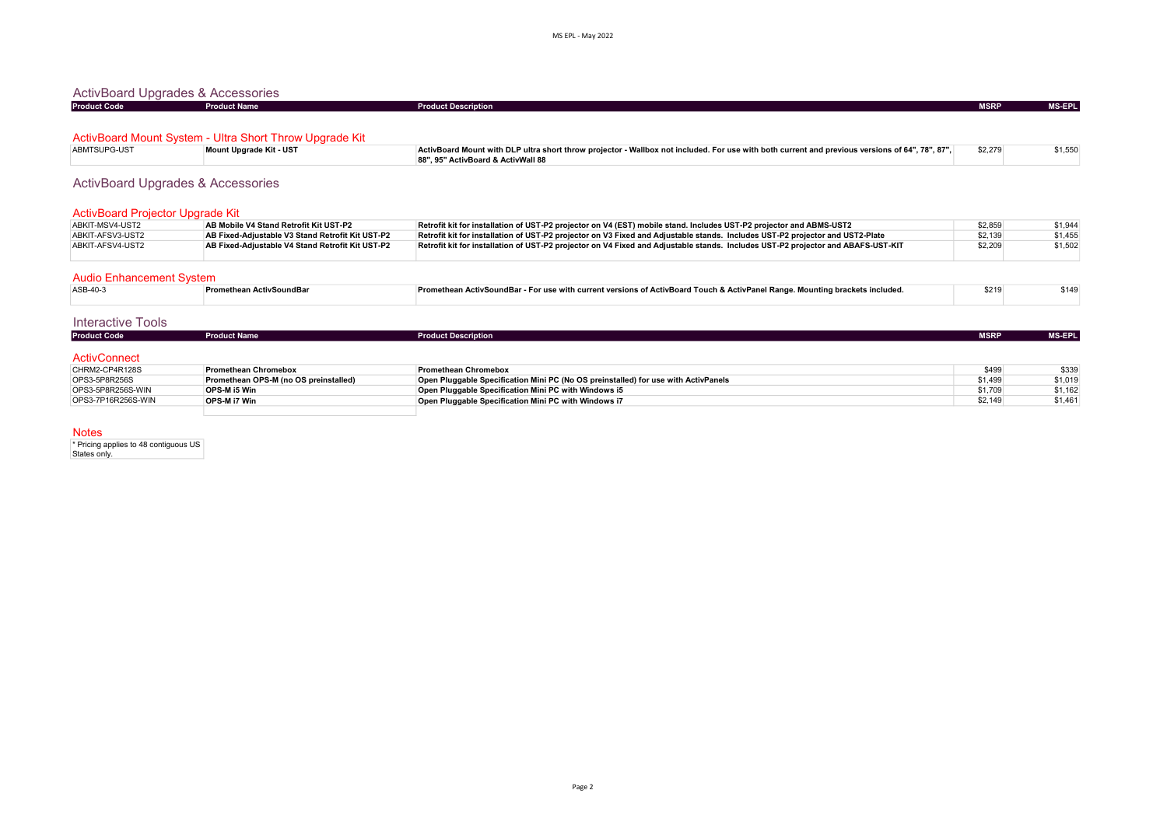| ActivBoard Upgrades & Accessories |                                                         |                                                                                                                                                 |             |               |
|-----------------------------------|---------------------------------------------------------|-------------------------------------------------------------------------------------------------------------------------------------------------|-------------|---------------|
| <b>Product Code</b>               | <b>Product Name</b>                                     | <b>Product Description</b>                                                                                                                      | <b>MSRP</b> | <b>MS-EPL</b> |
|                                   |                                                         |                                                                                                                                                 |             |               |
|                                   | ActivBoard Mount System - Ultra Short Throw Upgrade Kit |                                                                                                                                                 |             |               |
| ABMTSUPG-UST                      | Mount Upgrade Kit - UST                                 | ActivBoard Mount with DLP ultra short throw projector - Wallbox not included. For use with both current and previous versions of 64", 78", 87", | \$2,279     | \$1,550       |

| <b>ActivBoard Upgrades &amp; Accessories</b> |  |
|----------------------------------------------|--|
|                                              |  |

| ActivBoard Projector Upgrade Kit |                                                  |                                                                                                                                  |         |         |
|----------------------------------|--------------------------------------------------|----------------------------------------------------------------------------------------------------------------------------------|---------|---------|
| ABKIT-MSV4-UST2                  | AB Mobile V4 Stand Retrofit Kit UST-P2           | Retrofit kit for installation of UST-P2 projector on V4 (EST) mobile stand. Includes UST-P2 projector and ABMS-UST2              | \$2,859 | \$1,944 |
| ABKIT-AFSV3-UST2                 | AB Fixed-Adiustable V3 Stand Retrofit Kit UST-P2 | Retrofit kit for installation of UST-P2 projector on V3 Fixed and Adjustable stands. Includes UST-P2 projector and UST2-Plate    | \$2,139 | \$1.455 |
| ABKIT-AFSV4-UST2                 | AB Fixed-Adiustable V4 Stand Retrofit Kit UST-P2 | Retrofit kit for installation of UST-P2 projector on V4 Fixed and Adjustable stands. Includes UST-P2 projector and ABAFS-UST-KIT | \$2,209 | \$1,502 |
|                                  |                                                  |                                                                                                                                  |         |         |

88", 95" ActivBoard & ActivWall 88

|  | <b>Audio Enhancement System</b> |  |
|--|---------------------------------|--|
|--|---------------------------------|--|

| ASB-40-3 | ⊺Promethean ActivSoundBar | <b>Promethean ActivSoundBar - For use with current versions of ActivBoard Touch &amp; ActivPanel Range. Mounting brackets included.</b> | 521 | \$149 |
|----------|---------------------------|-----------------------------------------------------------------------------------------------------------------------------------------|-----|-------|

## Interactive Tools

| <b>Product Code</b> | <b>Product Name</b> | <b>Product Description</b> | <b>MSRP</b> | <b>MS-EPLI</b> |
|---------------------|---------------------|----------------------------|-------------|----------------|
|                     |                     |                            |             |                |
| <b>ActivConnect</b> |                     |                            |             |                |

| \$1,49<br>OPS3-5P8R256S<br>Open Pluggable Specification Mini PC (No OS preinstalled) for use with ActivPanels<br>Promethean OPS-M (no OS preinstalled) | CHRM2-CP4R128S    | <b>Promethean Chromebox</b> | <b>Promethean Chromebox</b>                          | \$499   | \$339   |
|--------------------------------------------------------------------------------------------------------------------------------------------------------|-------------------|-----------------------------|------------------------------------------------------|---------|---------|
|                                                                                                                                                        |                   |                             |                                                      |         | \$1,019 |
|                                                                                                                                                        | OPS3-5P8R256S-WIN | OPS-M i5 Win                | Open Pluggable Specification Mini PC with Windows i5 | \$1.709 | \$1.162 |
| \$2.149<br>OPS3-7P16R256S-WIN<br>OPS-M i7 Win<br>Open Pluggable Specification Mini PC with Windows i7                                                  |                   |                             |                                                      |         | \$1.461 |

Notes

\* Pricing applies to 48 contiguous US States only.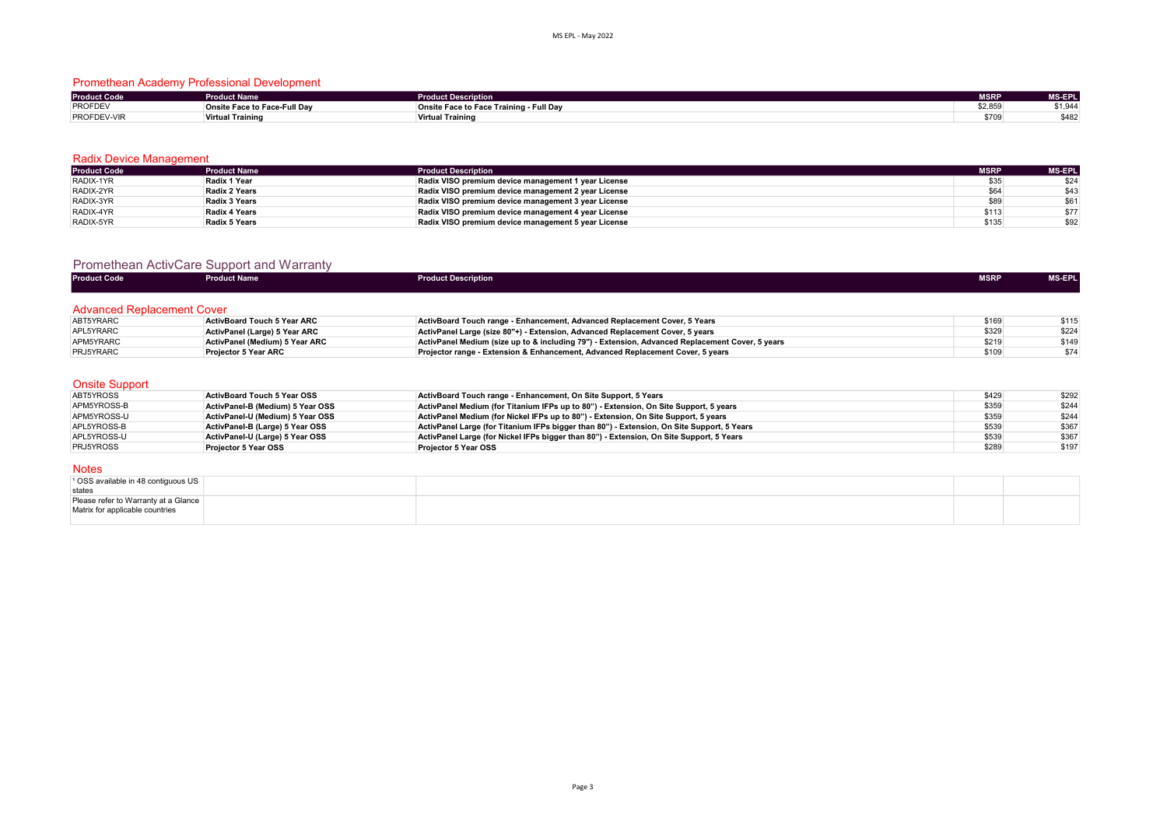## Promethean Academy Professional Development

| <b>Product Code</b> | <b>Product Name</b>          | uct Description                         | <b>MSRP</b> | <b>MS-EPL</b>         |
|---------------------|------------------------------|-----------------------------------------|-------------|-----------------------|
| <b>PROFDEV</b>      | Onsite Face to Face-Full Dav | Onsite Face to Face Training - Full Day | \$2,859     | $A \cap A$<br>⊶−ت,ו ب |
| PROFDEV-VIR         | <b>Virtual Training</b>      | <b>Virtual Training</b>                 | \$709       | 0.401<br>∠ט⊤ע         |

### Radix Device Management

| <b>Product Code</b> | <b>Product Name</b>  | <b>Product Description</b>                          | <b>MSRP</b> | <b>MS-EPL</b> |
|---------------------|----------------------|-----------------------------------------------------|-------------|---------------|
| RADIX-1YR           | Radix 1 Year         | Radix VISO premium device management 1 year License | \$35        | \$24          |
| RADIX-2YR           | <b>Radix 2 Years</b> | Radix VISO premium device management 2 year License | \$64        | \$43          |
| RADIX-3YR           | Radix 3 Years        | Radix VISO premium device management 3 year License | \$89        | \$61          |
| RADIX-4YR           | <b>Radix 4 Years</b> | Radix VISO premium device management 4 year License | \$113       | \$77          |
| RADIX-5YR           | <b>Radix 5 Years</b> | Radix VISO premium device management 5 year License | \$135       | \$92          |

## Promethean ActivCare Support and Warranty

| <b>Product Code</b>               | <b>Product Name</b>                | <b>Product Description</b>                                                                      | <b>MSRP</b> | MS-EPL |
|-----------------------------------|------------------------------------|-------------------------------------------------------------------------------------------------|-------------|--------|
| <b>Advanced Replacement Cover</b> |                                    |                                                                                                 |             |        |
| ABT5YRARC                         | <b>ActivBoard Touch 5 Year ARC</b> | ActivBoard Touch range - Enhancement, Advanced Replacement Cover, 5 Years                       | \$169       | \$115  |
| APL5YRARC                         | ActivPanel (Large) 5 Year ARC      | ActivPanel Large (size 80"+) - Extension, Advanced Replacement Cover, 5 years                   | \$329       | \$224  |
| APM5YRARC                         | ActivPanel (Medium) 5 Year ARC     | ActivPanel Medium (size up to & including 79") - Extension, Advanced Replacement Cover, 5 years | \$219       | \$149  |
| PRJ5YRARC                         | <b>Projector 5 Year ARC</b>        | Projector range - Extension & Enhancement, Advanced Replacement Cover, 5 years                  | \$109       | \$74   |

### Onsite Support

| ABT5YROSS        | <b>ActivBoard Touch 5 Year OSS</b> | ActivBoard Touch range - Enhancement, On Site Support, 5 Years                             | \$429 | \$292 |
|------------------|------------------------------------|--------------------------------------------------------------------------------------------|-------|-------|
| APM5YROSS-B      | ActivPanel-B (Medium) 5 Year OSS   | ActivPanel Medium (for Titanium IFPs up to 80") - Extension, On Site Support, 5 years      | \$359 | \$244 |
| APM5YROSS-U      | ActivPanel-U (Medium) 5 Year OSS   | ActivPanel Medium (for Nickel IFPs up to 80") - Extension. On Site Support, 5 years        | \$359 | \$244 |
| APL5YROSS-B      | ActivPanel-B (Large) 5 Year OSS    | ActivPanel Large (for Titanium IFPs bigger than 80") - Extension, On Site Support, 5 Years | \$539 | \$367 |
| APL5YROSS-U      | ActivPanel-U (Large) 5 Year OSS    | ActivPanel Large (for Nickel IFPs bigger than 80") - Extension, On Site Support, 5 Years   | \$539 | \$367 |
| <b>PRJ5YROSS</b> | Proiector 5 Year OSS               | <b>Projector 5 Year OSS</b>                                                                | \$289 | \$197 |

### Notes

| <sup>1</sup> OSS available in 48 contiguous US |  |  |
|------------------------------------------------|--|--|
| states                                         |  |  |
| Please refer to Warranty at a Glance           |  |  |
| Matrix for applicable countries                |  |  |
|                                                |  |  |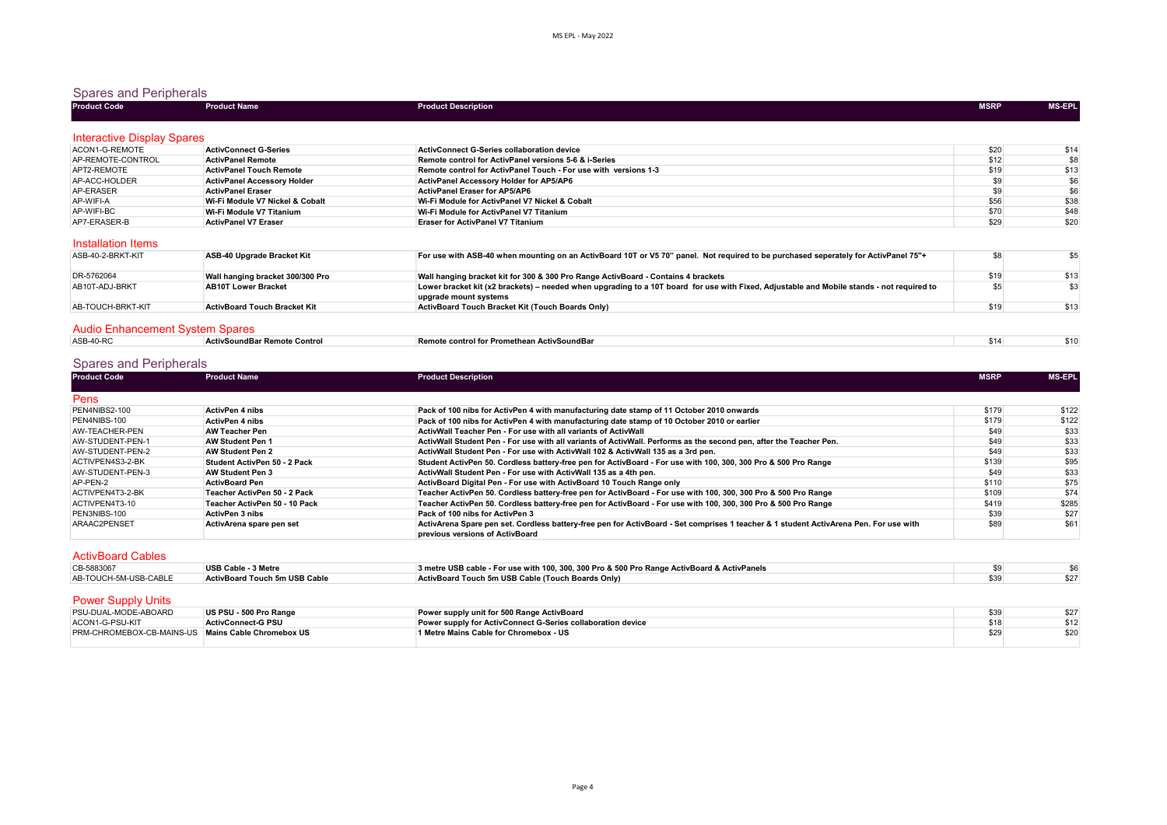### Spares and Peripherals

| <b>Product Code</b>               | <b>Product Name</b>                | <b>Product Description</b>                                      | <b>MSRP</b> | <b>MS-EPL</b> |
|-----------------------------------|------------------------------------|-----------------------------------------------------------------|-------------|---------------|
| <b>Interactive Display Spares</b> |                                    |                                                                 |             |               |
| ACON1-G-REMOTE                    | <b>ActivConnect G-Series</b>       | ActivConnect G-Series collaboration device                      | \$20        | \$14          |
| AP-REMOTE-CONTROL                 | <b>ActivPanel Remote</b>           | Remote control for ActivPanel versions 5-6 & i-Series           | \$12        | \$8           |
| APT2-REMOTE                       | <b>ActivPanel Touch Remote</b>     | Remote control for ActivPanel Touch - For use with versions 1-3 | \$19        | \$13          |
| AP-ACC-HOLDER                     | <b>ActivPanel Accessory Holder</b> | ActivPanel Accessory Holder for AP5/AP6                         | \$9         | \$6           |
| AP-ERASER                         | <b>ActivPanel Eraser</b>           | <b>ActivPanel Eraser for AP5/AP6</b>                            | \$9         | \$6           |
| AP-WIFI-A                         | Wi-Fi Module V7 Nickel & Cobalt    | Wi-Fi Module for ActivPanel V7 Nickel & Cobalt                  | \$56        | \$38          |
| AP-WIFI-BC                        | Wi-Fi Module V7 Titanium           | Wi-Fi Module for ActivPanel V7 Titanium                         | \$70        | \$48          |
| AP7-ERASER-B                      | <b>ActivPanel V7 Eraser</b>        | <b>Eraser for ActivPanel V7 Titanium</b>                        | \$29        | \$20          |

| ASB-40-2-BRKT-KIT               | ASB-40 Upgrade Bracket Kit          | For use with ASB-40 when mounting on an ActivBoard 10T or V5 70" panel. Not required to be purchased seperately for ActivPanel 75"+                                |      | \$5  |
|---------------------------------|-------------------------------------|--------------------------------------------------------------------------------------------------------------------------------------------------------------------|------|------|
| DR-5762064                      | Wall hanging bracket 300/300 Pro    | Wall hanging bracket kit for 300 & 300 Pro Range ActivBoard - Contains 4 brackets                                                                                  | \$19 | \$13 |
| AB10T-ADJ-BRKT                  | <b>AB10T Lower Bracket</b>          | Lower bracket kit (x2 brackets) - needed when upgrading to a 10T board for use with Fixed, Adjustable and Mobile stands - not required to<br>upgrade mount systems |      | \$3  |
| AB-TOUCH-BRKT-KIT               | <b>ActivBoard Touch Bracket Kit</b> | ActivBoard Touch Bracket Kit (Touch Boards Only)                                                                                                                   | \$19 | \$13 |
| Audio Enhancement System Spares |                                     |                                                                                                                                                                    |      |      |

| .          |                              |                                              |      |
|------------|------------------------------|----------------------------------------------|------|
| $ASB-40-R$ | ActivSoundBar Remote Control | ⊟Remote control for Promethean ActivSoundBar | \$10 |

# Spares and Peripherals

| <b>Product Code</b>      | <b>Product Name</b>           | <b>Product Description</b>                                                                                                                                               | <b>MSRP</b> | <b>MS-EPL</b> |
|--------------------------|-------------------------------|--------------------------------------------------------------------------------------------------------------------------------------------------------------------------|-------------|---------------|
| Pens                     |                               |                                                                                                                                                                          |             |               |
| PEN4NIBS2-100            | <b>ActivPen 4 nibs</b>        | Pack of 100 nibs for ActivPen 4 with manufacturing date stamp of 11 October 2010 onwards                                                                                 | \$179       | \$122         |
| PEN4NIBS-100             | <b>ActivPen 4 nibs</b>        | Pack of 100 nibs for ActivPen 4 with manufacturing date stamp of 10 October 2010 or earlier                                                                              | \$179       | \$122         |
| AW-TEACHER-PEN           | <b>AW Teacher Pen</b>         | ActivWall Teacher Pen - For use with all variants of ActivWall                                                                                                           | \$49        | \$33          |
| AW-STUDENT-PEN-1         | <b>AW Student Pen 1</b>       | ActivWall Student Pen - For use with all variants of ActivWall. Performs as the second pen, after the Teacher Pen.                                                       | \$49        | \$33          |
| AW-STUDENT-PEN-2         | <b>AW Student Pen 2</b>       | ActivWall Student Pen - For use with ActivWall 102 & ActivWall 135 as a 3rd pen.                                                                                         | \$49        | \$33          |
| ACTIVPEN4S3-2-BK         | Student ActivPen 50 - 2 Pack  | Student ActivPen 50. Cordless battery-free pen for ActivBoard - For use with 100, 300, 300 Pro & 500 Pro Range                                                           | \$139       | \$95          |
| AW-STUDENT-PEN-3         | AW Student Pen 3              | ActivWall Student Pen - For use with ActivWall 135 as a 4th pen.                                                                                                         | \$49        | \$33          |
| AP-PEN-2                 | <b>ActivBoard Pen</b>         | ActivBoard Digital Pen - For use with ActivBoard 10 Touch Range only                                                                                                     | \$110       | \$75          |
| ACTIVPEN4T3-2-BK         | Teacher ActivPen 50 - 2 Pack  | Teacher ActivPen 50. Cordless battery-free pen for ActivBoard - For use with 100, 300, 300 Pro & 500 Pro Range                                                           | \$109       | \$74          |
| ACTIVPEN4T3-10           | Teacher ActivPen 50 - 10 Pack | Teacher ActivPen 50. Cordless battery-free pen for ActivBoard - For use with 100, 300, 300 Pro & 500 Pro Range                                                           | \$419       | \$285         |
| PEN3NIBS-100             | <b>ActivPen 3 nibs</b>        | Pack of 100 nibs for ActivPen 3                                                                                                                                          | \$39        | \$27          |
| ARAAC2PENSET             | ActivArena spare pen set      | ActivArena Spare pen set. Cordless battery-free pen for ActivBoard - Set comprises 1 teacher & 1 student ActivArena Pen. For use with<br>previous versions of ActivBoard | \$89        | \$61          |
| <b>ActivBoard Cables</b> |                               |                                                                                                                                                                          |             |               |
| $CR$ <sub>5883067</sub>  | <b>IICD Cobin 2 Motro</b>     | 3 motro USB cable. For use with 100, 200, 200 Bro 8, 500 Bro Range ActivRoard 8, ActivRangle                                                                             | ¢Q.         | CR            |

| CB-5883067                | USB Cable - 3 Metre           | 3 metre USB cable - For use with 100, 300, 300 Pro & 500 Pro Range ActivBoard & ActivPanels |      |
|---------------------------|-------------------------------|---------------------------------------------------------------------------------------------|------|
| AB-TOUCH-5M-USB-CABLE     | ActivBoard Touch 5m USB Cable | ActivBoard Touch 5m USB Cable (Touch Boards Only)                                           | \$27 |
|                           |                               |                                                                                             |      |
| <b>Power Supply Units</b> |                               |                                                                                             |      |

| PSU-DUAL-MODE-ABOARD                                      | US PSU - 500 Pro Range    | Power supply unit for 500 Range ActivBoard                  |      | \$27 |
|-----------------------------------------------------------|---------------------------|-------------------------------------------------------------|------|------|
| ACON1-G-PSU-KIT                                           | <b>ActivConnect-G PSU</b> | Power supply for ActivConnect G-Series collaboration device |      |      |
| <b>PRM-CHROMEBOX-CB-MAINS-US Mains Cable Chromebox US</b> |                           | 1 Metre Mains Cable for Chromebox - US                      | \$29 |      |
|                                                           |                           |                                                             |      |      |